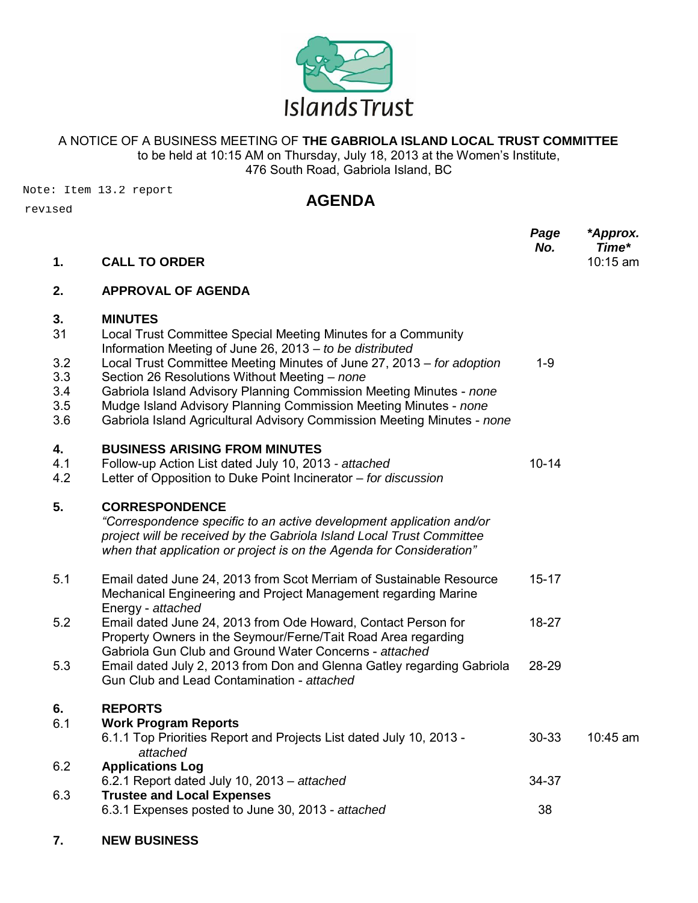

## A NOTICE OF A BUSINESS MEETING OF **THE GABRIOLA ISLAND LOCAL TRUST COMMITTEE**

to be held at 10:15 AM on Thursday, July 18, 2013 at the Women's Institute, 476 South Road, Gabriola Island, BC

Note: Item 13.2 report revised

### **AGENDA**

|                          |                                                                                                                                                                                                                                                                     | Page<br>No. | *Approx.<br>Time* |
|--------------------------|---------------------------------------------------------------------------------------------------------------------------------------------------------------------------------------------------------------------------------------------------------------------|-------------|-------------------|
| 1.                       | <b>CALL TO ORDER</b>                                                                                                                                                                                                                                                |             | 10:15 am          |
| 2.                       | <b>APPROVAL OF AGENDA</b>                                                                                                                                                                                                                                           |             |                   |
| 3.<br>31<br>3.2          | <b>MINUTES</b><br>Local Trust Committee Special Meeting Minutes for a Community<br>Information Meeting of June 26, 2013 - to be distributed<br>Local Trust Committee Meeting Minutes of June 27, 2013 - for adoption                                                | $1 - 9$     |                   |
| 3.3<br>3.4<br>3.5<br>3.6 | Section 26 Resolutions Without Meeting - none<br>Gabriola Island Advisory Planning Commission Meeting Minutes - none<br>Mudge Island Advisory Planning Commission Meeting Minutes - none<br>Gabriola Island Agricultural Advisory Commission Meeting Minutes - none |             |                   |
| 4.<br>4.1<br>4.2         | <b>BUSINESS ARISING FROM MINUTES</b><br>Follow-up Action List dated July 10, 2013 - attached<br>Letter of Opposition to Duke Point Incinerator - for discussion                                                                                                     | $10 - 14$   |                   |
| 5.                       | <b>CORRESPONDENCE</b><br>"Correspondence specific to an active development application and/or<br>project will be received by the Gabriola Island Local Trust Committee<br>when that application or project is on the Agenda for Consideration"                      |             |                   |
| 5.1                      | Email dated June 24, 2013 from Scot Merriam of Sustainable Resource<br>Mechanical Engineering and Project Management regarding Marine<br>Energy - attached                                                                                                          | $15 - 17$   |                   |
| 5.2                      | Email dated June 24, 2013 from Ode Howard, Contact Person for<br>Property Owners in the Seymour/Ferne/Tait Road Area regarding<br>Gabriola Gun Club and Ground Water Concerns - attached                                                                            | 18-27       |                   |
| 5.3                      | Email dated July 2, 2013 from Don and Glenna Gatley regarding Gabriola<br>Gun Club and Lead Contamination - attached                                                                                                                                                | 28-29       |                   |
| 6.<br>6.1                | <b>REPORTS</b><br><b>Work Program Reports</b><br>6.1.1 Top Priorities Report and Projects List dated July 10, 2013 -<br>attached                                                                                                                                    | 30-33       | 10:45 am          |
| 6.2                      | <b>Applications Log</b><br>6.2.1 Report dated July 10, 2013 - attached                                                                                                                                                                                              | 34-37       |                   |
| 6.3                      | <b>Trustee and Local Expenses</b><br>6.3.1 Expenses posted to June 30, 2013 - attached                                                                                                                                                                              | 38          |                   |

**7. NEW BUSINESS**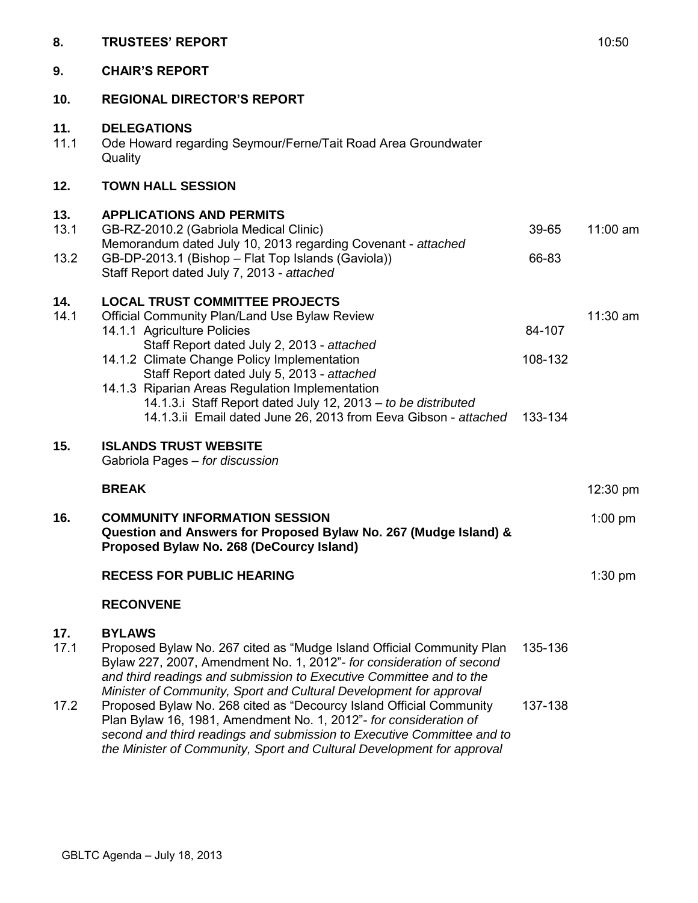| 8.          | <b>TRUSTEES' REPORT</b>                                                                                                                                                                                                                                                                                                                                            |                   | 10:50      |
|-------------|--------------------------------------------------------------------------------------------------------------------------------------------------------------------------------------------------------------------------------------------------------------------------------------------------------------------------------------------------------------------|-------------------|------------|
| 9.          | <b>CHAIR'S REPORT</b>                                                                                                                                                                                                                                                                                                                                              |                   |            |
| 10.         | <b>REGIONAL DIRECTOR'S REPORT</b>                                                                                                                                                                                                                                                                                                                                  |                   |            |
| 11.<br>11.1 | <b>DELEGATIONS</b><br>Ode Howard regarding Seymour/Ferne/Tait Road Area Groundwater<br>Quality                                                                                                                                                                                                                                                                     |                   |            |
| 12.         | <b>TOWN HALL SESSION</b>                                                                                                                                                                                                                                                                                                                                           |                   |            |
| 13.<br>13.1 | <b>APPLICATIONS AND PERMITS</b><br>GB-RZ-2010.2 (Gabriola Medical Clinic)                                                                                                                                                                                                                                                                                          | 39-65             | $11:00$ am |
| 13.2        | Memorandum dated July 10, 2013 regarding Covenant - attached<br>GB-DP-2013.1 (Bishop - Flat Top Islands (Gaviola))<br>Staff Report dated July 7, 2013 - attached                                                                                                                                                                                                   | 66-83             |            |
| 14.<br>14.1 | <b>LOCAL TRUST COMMITTEE PROJECTS</b><br>Official Community Plan/Land Use Bylaw Review<br>14.1.1 Agriculture Policies<br>Staff Report dated July 2, 2013 - attached<br>14.1.2 Climate Change Policy Implementation<br>Staff Report dated July 5, 2013 - attached<br>14.1.3 Riparian Areas Regulation Implementation                                                | 84-107<br>108-132 | $11:30$ am |
|             | 14.1.3.i Staff Report dated July 12, 2013 - to be distributed<br>14.1.3.ii Email dated June 26, 2013 from Eeva Gibson - attached                                                                                                                                                                                                                                   | 133-134           |            |
| 15.         | <b>ISLANDS TRUST WEBSITE</b><br>Gabriola Pages - for discussion                                                                                                                                                                                                                                                                                                    |                   |            |
|             | <b>BREAK</b>                                                                                                                                                                                                                                                                                                                                                       |                   | 12:30 pm   |
| 16.         | <b>COMMUNITY INFORMATION SESSION</b><br>Question and Answers for Proposed Bylaw No. 267 (Mudge Island) &<br>Proposed Bylaw No. 268 (DeCourcy Island)                                                                                                                                                                                                               |                   | $1:00$ pm  |
|             | <b>RECESS FOR PUBLIC HEARING</b>                                                                                                                                                                                                                                                                                                                                   |                   | $1:30$ pm  |
|             | <b>RECONVENE</b>                                                                                                                                                                                                                                                                                                                                                   |                   |            |
| 17.<br>17.1 | <b>BYLAWS</b><br>Proposed Bylaw No. 267 cited as "Mudge Island Official Community Plan<br>Bylaw 227, 2007, Amendment No. 1, 2012"- for consideration of second<br>and third readings and submission to Executive Committee and to the                                                                                                                              | 135-136           |            |
| 17.2        | Minister of Community, Sport and Cultural Development for approval<br>Proposed Bylaw No. 268 cited as "Decourcy Island Official Community<br>Plan Bylaw 16, 1981, Amendment No. 1, 2012"- for consideration of<br>second and third readings and submission to Executive Committee and to<br>the Minister of Community, Sport and Cultural Development for approval | 137-138           |            |
|             |                                                                                                                                                                                                                                                                                                                                                                    |                   |            |